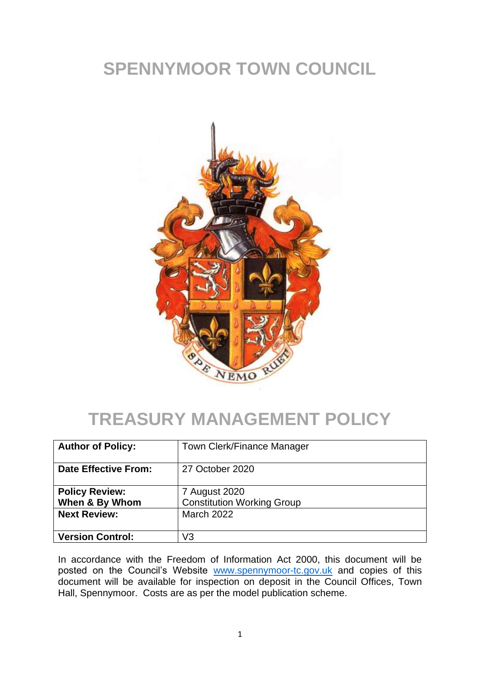# **SPENNYMOOR TOWN COUNCIL**



# **TREASURY MANAGEMENT POLICY**

| <b>Author of Policy:</b>                | Town Clerk/Finance Manager                         |
|-----------------------------------------|----------------------------------------------------|
| <b>Date Effective From:</b>             | 27 October 2020                                    |
| <b>Policy Review:</b><br>When & By Whom | 7 August 2020<br><b>Constitution Working Group</b> |
| <b>Next Review:</b>                     | <b>March 2022</b>                                  |
| <b>Version Control:</b>                 | V3                                                 |

In accordance with the Freedom of Information Act 2000, this document will be posted on the Council's Website [www.spennymoor-tc.gov.uk](http://www.spennymoor-tc.gov.uk/) and copies of this document will be available for inspection on deposit in the Council Offices, Town Hall, Spennymoor. Costs are as per the model publication scheme.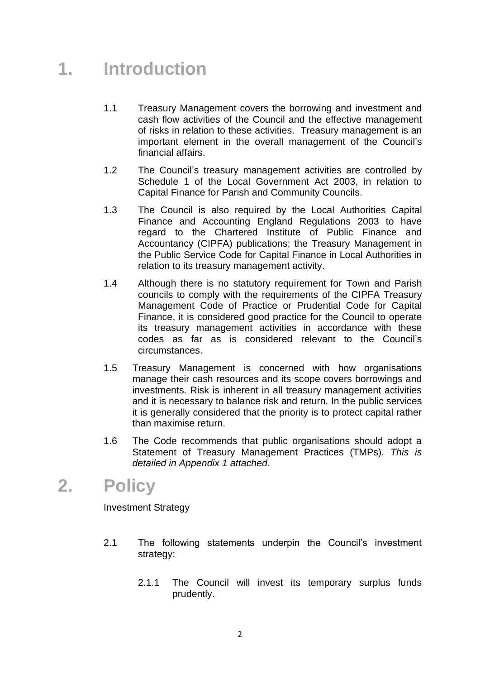## **1. Introduction**

- 1.1 Treasury Management covers the borrowing and investment and cash flow activities of the Council and the effective management of risks in relation to these activities. Treasury management is an important element in the overall management of the Council's financial affairs.
- 1.2 The Council's treasury management activities are controlled by Schedule 1 of the Local Government Act 2003, in relation to Capital Finance for Parish and Community Councils.
- 1.3 The Council is also required by the Local Authorities Capital Finance and Accounting England Regulations 2003 to have regard to the Chartered Institute of Public Finance and Accountancy (CIPFA) publications; the Treasury Management in the Public Service Code for Capital Finance in Local Authorities in relation to its treasury management activity.
- 1.4 Although there is no statutory requirement for Town and Parish councils to comply with the requirements of the CIPFA Treasury Management Code of Practice or Prudential Code for Capital Finance, it is considered good practice for the Council to operate its treasury management activities in accordance with these codes as far as is considered relevant to the Council's circumstances.
- 1.5 Treasury Management is concerned with how organisations manage their cash resources and its scope covers borrowings and investments. Risk is inherent in all treasury management activities and it is necessary to balance risk and return. In the public services it is generally considered that the priority is to protect capital rather than maximise return.
- 1.6 The Code recommends that public organisations should adopt a Statement of Treasury Management Practices (TMPs). *This is detailed in Appendix 1 attached.*

## **2. Policy**

Investment Strategy

- 2.1 The following statements underpin the Council's investment strategy:
	- 2.1.1 The Council will invest its temporary surplus funds prudently.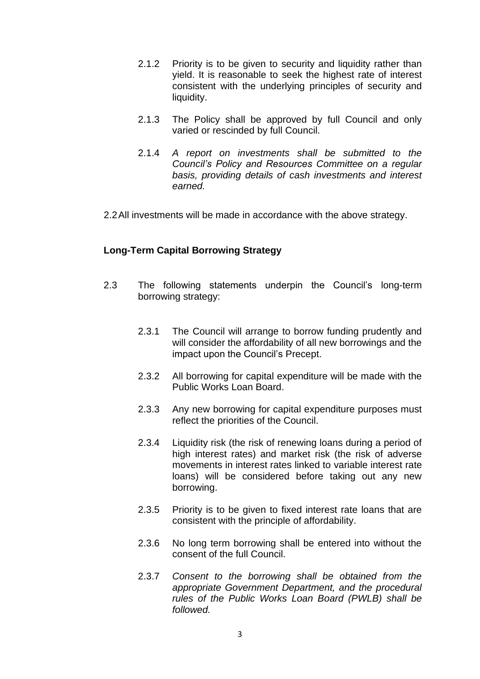- 2.1.2 Priority is to be given to security and liquidity rather than yield. It is reasonable to seek the highest rate of interest consistent with the underlying principles of security and liquidity.
- 2.1.3 The Policy shall be approved by full Council and only varied or rescinded by full Council.
- 2.1.4 *A report on investments shall be submitted to the Council's Policy and Resources Committee on a regular basis, providing details of cash investments and interest earned.*
- 2.2All investments will be made in accordance with the above strategy.

### **Long-Term Capital Borrowing Strategy**

- 2.3 The following statements underpin the Council's long-term borrowing strategy:
	- 2.3.1 The Council will arrange to borrow funding prudently and will consider the affordability of all new borrowings and the impact upon the Council's Precept.
	- 2.3.2 All borrowing for capital expenditure will be made with the Public Works Loan Board.
	- 2.3.3 Any new borrowing for capital expenditure purposes must reflect the priorities of the Council.
	- 2.3.4 Liquidity risk (the risk of renewing loans during a period of high interest rates) and market risk (the risk of adverse movements in interest rates linked to variable interest rate loans) will be considered before taking out any new borrowing.
	- 2.3.5 Priority is to be given to fixed interest rate loans that are consistent with the principle of affordability.
	- 2.3.6 No long term borrowing shall be entered into without the consent of the full Council.
	- 2.3.7 *Consent to the borrowing shall be obtained from the appropriate Government Department, and the procedural rules of the Public Works Loan Board (PWLB) shall be followed.*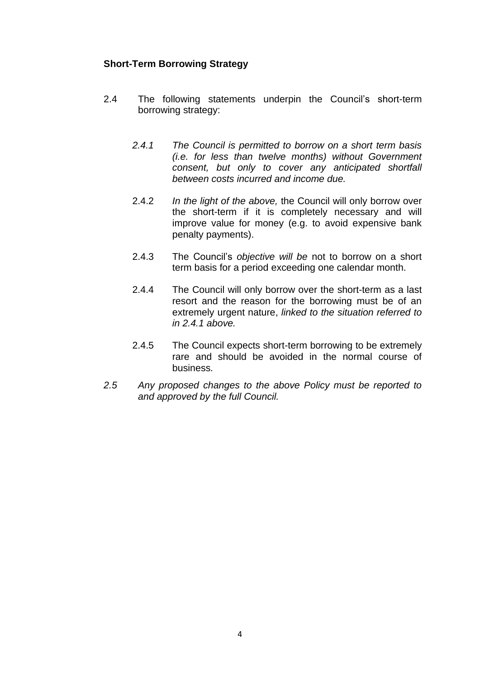### **Short-Term Borrowing Strategy**

- 2.4 The following statements underpin the Council's short-term borrowing strategy:
	- *2.4.1 The Council is permitted to borrow on a short term basis (i.e. for less than twelve months) without Government consent, but only to cover any anticipated shortfall between costs incurred and income due.*
	- 2.4.2 *In the light of the above,* the Council will only borrow over the short-term if it is completely necessary and will improve value for money (e.g. to avoid expensive bank penalty payments).
	- 2.4.3 The Council's *objective will be* not to borrow on a short term basis for a period exceeding one calendar month.
	- 2.4.4 The Council will only borrow over the short-term as a last resort and the reason for the borrowing must be of an extremely urgent nature, *linked to the situation referred to in 2.4.1 above.*
	- 2.4.5 The Council expects short-term borrowing to be extremely rare and should be avoided in the normal course of business.
- *2.5 Any proposed changes to the above Policy must be reported to and approved by the full Council.*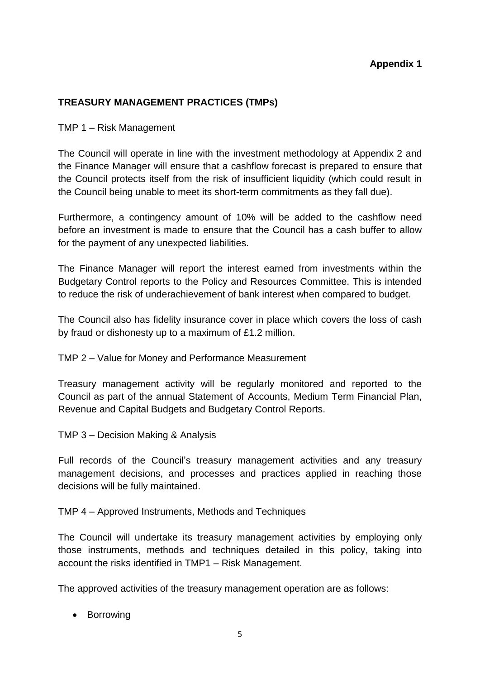## **Appendix 1**

## **TREASURY MANAGEMENT PRACTICES (TMPs)**

TMP 1 – Risk Management

The Council will operate in line with the investment methodology at Appendix 2 and the Finance Manager will ensure that a cashflow forecast is prepared to ensure that the Council protects itself from the risk of insufficient liquidity (which could result in the Council being unable to meet its short-term commitments as they fall due).

Furthermore, a contingency amount of 10% will be added to the cashflow need before an investment is made to ensure that the Council has a cash buffer to allow for the payment of any unexpected liabilities.

The Finance Manager will report the interest earned from investments within the Budgetary Control reports to the Policy and Resources Committee. This is intended to reduce the risk of underachievement of bank interest when compared to budget.

The Council also has fidelity insurance cover in place which covers the loss of cash by fraud or dishonesty up to a maximum of £1.2 million.

TMP 2 – Value for Money and Performance Measurement

Treasury management activity will be regularly monitored and reported to the Council as part of the annual Statement of Accounts, Medium Term Financial Plan, Revenue and Capital Budgets and Budgetary Control Reports.

TMP 3 – Decision Making & Analysis

Full records of the Council's treasury management activities and any treasury management decisions, and processes and practices applied in reaching those decisions will be fully maintained.

TMP 4 – Approved Instruments, Methods and Techniques

The Council will undertake its treasury management activities by employing only those instruments, methods and techniques detailed in this policy, taking into account the risks identified in TMP1 – Risk Management.

The approved activities of the treasury management operation are as follows:

• Borrowing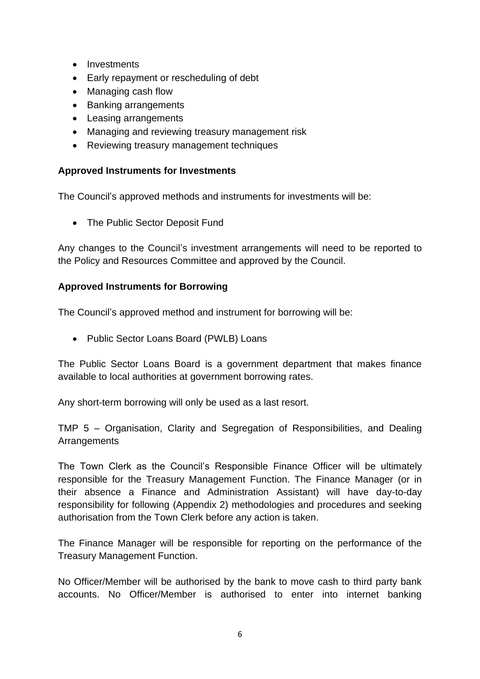- Investments
- Early repayment or rescheduling of debt
- Managing cash flow
- Banking arrangements
- Leasing arrangements
- Managing and reviewing treasury management risk
- Reviewing treasury management techniques

### **Approved Instruments for Investments**

The Council's approved methods and instruments for investments will be:

• The Public Sector Deposit Fund

Any changes to the Council's investment arrangements will need to be reported to the Policy and Resources Committee and approved by the Council.

## **Approved Instruments for Borrowing**

The Council's approved method and instrument for borrowing will be:

• Public Sector Loans Board (PWLB) Loans

The Public Sector Loans Board is a government department that makes finance available to local authorities at government borrowing rates.

Any short-term borrowing will only be used as a last resort.

TMP 5 – Organisation, Clarity and Segregation of Responsibilities, and Dealing **Arrangements** 

The Town Clerk as the Council's Responsible Finance Officer will be ultimately responsible for the Treasury Management Function. The Finance Manager (or in their absence a Finance and Administration Assistant) will have day-to-day responsibility for following (Appendix 2) methodologies and procedures and seeking authorisation from the Town Clerk before any action is taken.

The Finance Manager will be responsible for reporting on the performance of the Treasury Management Function.

No Officer/Member will be authorised by the bank to move cash to third party bank accounts. No Officer/Member is authorised to enter into internet banking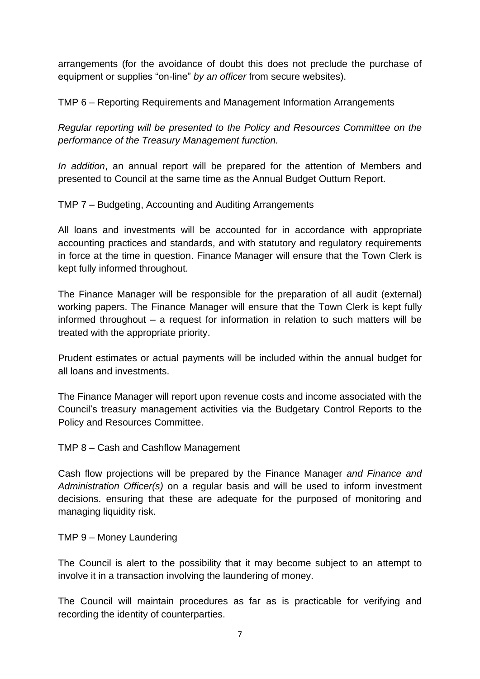arrangements (for the avoidance of doubt this does not preclude the purchase of equipment or supplies "on-line" *by an officer* from secure websites).

TMP 6 – Reporting Requirements and Management Information Arrangements

*Regular reporting will be presented to the Policy and Resources Committee on the performance of the Treasury Management function.*

*In addition*, an annual report will be prepared for the attention of Members and presented to Council at the same time as the Annual Budget Outturn Report.

TMP 7 – Budgeting, Accounting and Auditing Arrangements

All loans and investments will be accounted for in accordance with appropriate accounting practices and standards, and with statutory and regulatory requirements in force at the time in question. Finance Manager will ensure that the Town Clerk is kept fully informed throughout.

The Finance Manager will be responsible for the preparation of all audit (external) working papers. The Finance Manager will ensure that the Town Clerk is kept fully informed throughout – a request for information in relation to such matters will be treated with the appropriate priority.

Prudent estimates or actual payments will be included within the annual budget for all loans and investments.

The Finance Manager will report upon revenue costs and income associated with the Council's treasury management activities via the Budgetary Control Reports to the Policy and Resources Committee.

TMP 8 – Cash and Cashflow Management

Cash flow projections will be prepared by the Finance Manager *and Finance and Administration Officer(s)* on a regular basis and will be used to inform investment decisions. ensuring that these are adequate for the purposed of monitoring and managing liquidity risk.

TMP 9 – Money Laundering

The Council is alert to the possibility that it may become subject to an attempt to involve it in a transaction involving the laundering of money.

The Council will maintain procedures as far as is practicable for verifying and recording the identity of counterparties.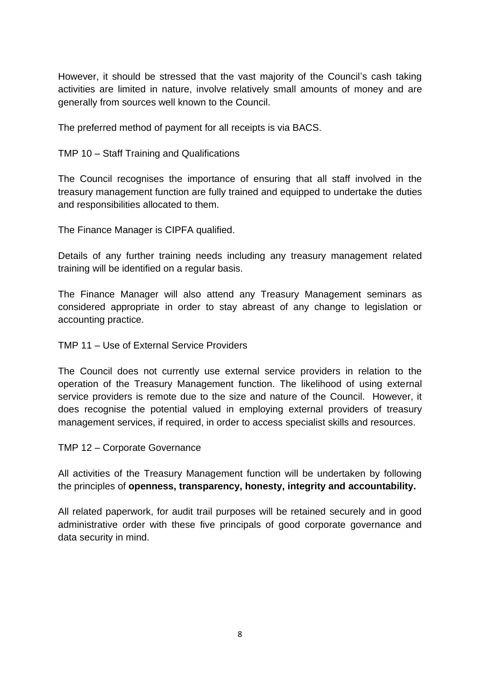However, it should be stressed that the vast majority of the Council's cash taking activities are limited in nature, involve relatively small amounts of money and are generally from sources well known to the Council.

The preferred method of payment for all receipts is via BACS.

TMP 10 – Staff Training and Qualifications

The Council recognises the importance of ensuring that all staff involved in the treasury management function are fully trained and equipped to undertake the duties and responsibilities allocated to them.

The Finance Manager is CIPFA qualified.

Details of any further training needs including any treasury management related training will be identified on a regular basis.

The Finance Manager will also attend any Treasury Management seminars as considered appropriate in order to stay abreast of any change to legislation or accounting practice.

TMP 11 – Use of External Service Providers

The Council does not currently use external service providers in relation to the operation of the Treasury Management function. The likelihood of using external service providers is remote due to the size and nature of the Council. However, it does recognise the potential valued in employing external providers of treasury management services, if required, in order to access specialist skills and resources.

TMP 12 – Corporate Governance

All activities of the Treasury Management function will be undertaken by following the principles of **openness, transparency, honesty, integrity and accountability.**

All related paperwork, for audit trail purposes will be retained securely and in good administrative order with these five principals of good corporate governance and data security in mind.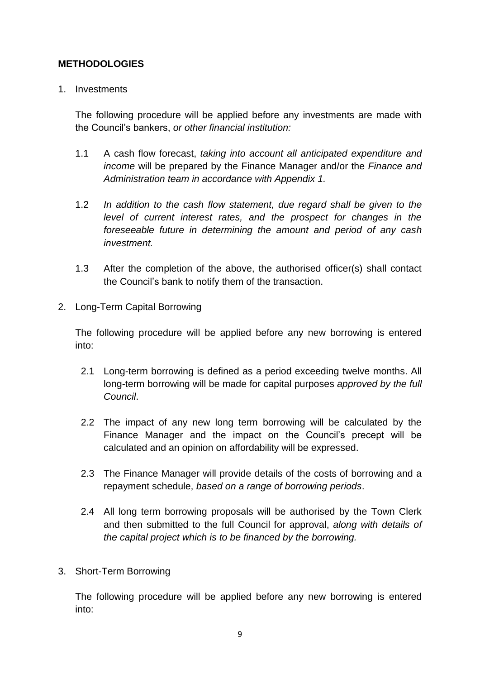### **METHODOLOGIES**

#### 1. Investments

The following procedure will be applied before any investments are made with the Council's bankers, *or other financial institution:*

- 1.1 A cash flow forecast, *taking into account all anticipated expenditure and income* will be prepared by the Finance Manager and/or the *Finance and Administration team in accordance with Appendix 1.*
- 1.2 *In addition to the cash flow statement, due regard shall be given to the level of current interest rates, and the prospect for changes in the foreseeable future in determining the amount and period of any cash investment.*
- 1.3 After the completion of the above, the authorised officer(s) shall contact the Council's bank to notify them of the transaction.
- 2. Long-Term Capital Borrowing

The following procedure will be applied before any new borrowing is entered into:

- 2.1 Long-term borrowing is defined as a period exceeding twelve months. All long-term borrowing will be made for capital purposes *approved by the full Council*.
- 2.2 The impact of any new long term borrowing will be calculated by the Finance Manager and the impact on the Council's precept will be calculated and an opinion on affordability will be expressed.
- 2.3 The Finance Manager will provide details of the costs of borrowing and a repayment schedule, *based on a range of borrowing periods*.
- 2.4 All long term borrowing proposals will be authorised by the Town Clerk and then submitted to the full Council for approval, *along with details of the capital project which is to be financed by the borrowing.*
- 3. Short-Term Borrowing

The following procedure will be applied before any new borrowing is entered into: